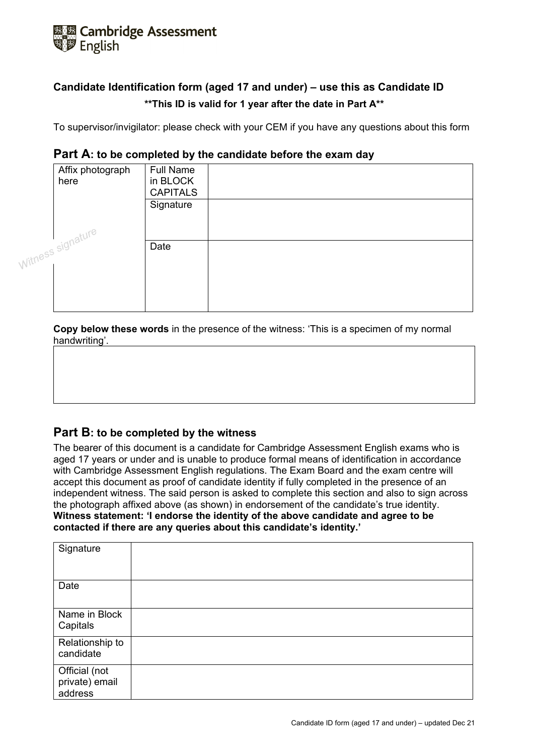

# **Candidate Identification form (aged 17 and under) – use this as Candidate ID \*\*This ID is valid for 1 year after the date in Part A\*\***

To supervisor/invigilator: please check with your CEM if you have any questions about this form

## **Part A: to be completed by the candidate before the exam day**

| Affix photograph<br>here | <b>Full Name</b><br>in BLOCK<br><b>CAPITALS</b> |  |
|--------------------------|-------------------------------------------------|--|
|                          | Signature                                       |  |
| witness signature        | Date                                            |  |
|                          |                                                 |  |

**Copy below these words** in the presence of the witness: 'This is a specimen of my normal handwriting'.

## **Part B: to be completed by the witness**

The bearer of this document is a candidate for Cambridge Assessment English exams who is aged 17 years or under and is unable to produce formal means of identification in accordance with Cambridge Assessment English regulations. The Exam Board and the exam centre will accept this document as proof of candidate identity if fully completed in the presence of an independent witness. The said person is asked to complete this section and also to sign across the photograph affixed above (as shown) in endorsement of the candidate's true identity. **Witness statement: 'I endorse the identity of the above candidate and agree to be contacted if there are any queries about this candidate's identity.'**

| Signature                                  |  |
|--------------------------------------------|--|
| Date                                       |  |
| Name in Block<br>Capitals                  |  |
| Relationship to<br>candidate               |  |
| Official (not<br>private) email<br>address |  |